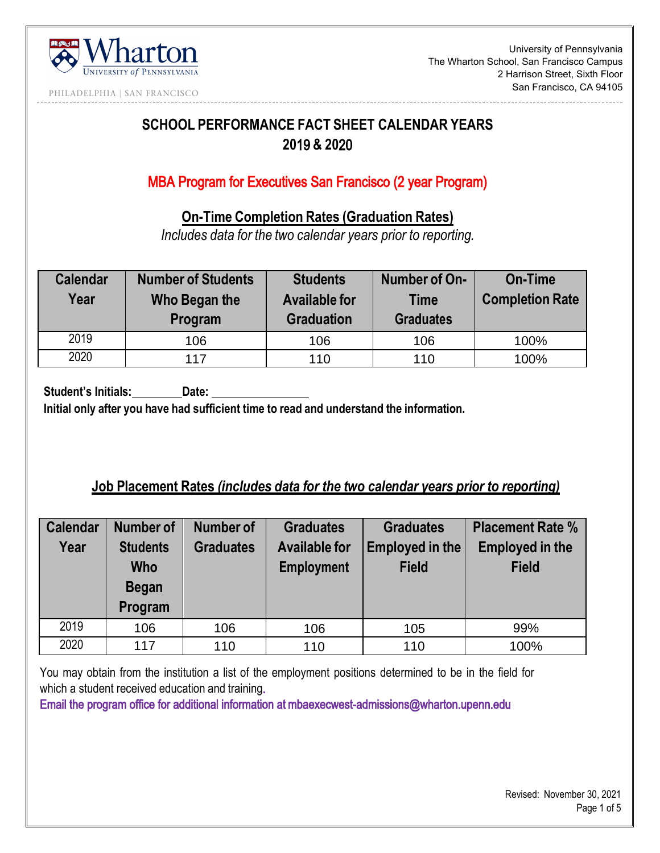

University of Pennsylvania The Wharton School, San Francisco Campus 2 Harrison Street, Sixth Floor San Francisco, CA 94105

PHILADELPHIA | SAN FRANCISCO

# **SCHOOL PERFORMANCE FACT SHEET CALENDAR YEARS 20**19 **& 20**20

## MBA Program for Executives San Francisco (2 year Program)

**On-Time Completion Rates (Graduation Rates)** 

*Includes data for the two calendar years prior to reporting.* 

| <b>Calendar</b><br>Year | <b>Number of Students</b><br>Who Began the<br>Program | <b>Students</b><br><b>Available for</b><br><b>Graduation</b> | Number of On-<br><b>Time</b><br><b>Graduates</b> | On-Time<br><b>Completion Rate</b> |
|-------------------------|-------------------------------------------------------|--------------------------------------------------------------|--------------------------------------------------|-----------------------------------|
| 2019                    | 106                                                   | 106                                                          | 106                                              | 100%                              |
| 2020                    | 117                                                   | 110                                                          | 110                                              | 100%                              |

**Student's Initials: Date:** 

**Initial only after you have had sufficient time to read and understand the information.** 

### **Job Placement Rates** *(includes data for the two calendar years prior to reporting)*

| <b>Calendar</b> | Number of       | Number of        | <b>Graduates</b>     | <b>Graduates</b> | <b>Placement Rate %</b> |
|-----------------|-----------------|------------------|----------------------|------------------|-------------------------|
| Year            | <b>Students</b> | <b>Graduates</b> | <b>Available for</b> | Employed in the  | <b>Employed in the</b>  |
|                 | <b>Who</b>      |                  | <b>Employment</b>    | <b>Field</b>     | <b>Field</b>            |
|                 | <b>Began</b>    |                  |                      |                  |                         |
|                 | Program         |                  |                      |                  |                         |
| 2019            | 106             | 106              | 106                  | 105              | 99%                     |
| 2020            | 117             | 110              | 110                  | 110              | 100%                    |

You may obtain from the institution a list of the employment positions determined to be in the field for which a student received education and training.

Email the program office for additional information at mbaexecwest-admissions@wharton.upenn.edu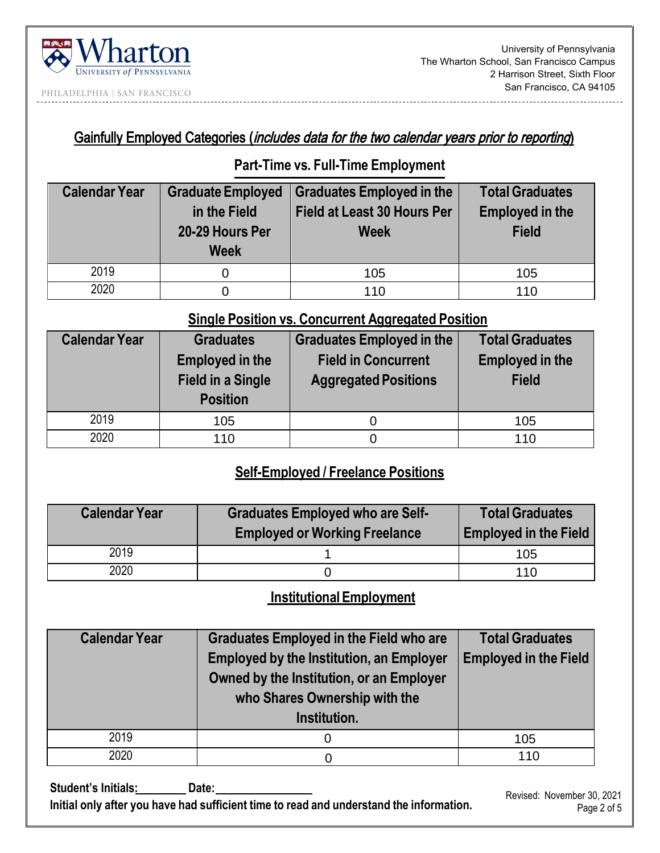

### PHILADELPHIA | SAN FRANCISCO

### Gainfully Employed Categories (includes data for the two calendar years prior to reporting)

#### **Part-Time vs. Full-Time Employment**

| <b>Calendar Year</b> | <b>Graduate Employed</b><br>in the Field<br>20-29 Hours Per<br><b>Week</b> | <b>Graduates Employed in the</b><br><b>Field at Least 30 Hours Per</b><br><b>Week</b> | <b>Total Graduates</b><br><b>Employed in the</b><br><b>Field</b> |
|----------------------|----------------------------------------------------------------------------|---------------------------------------------------------------------------------------|------------------------------------------------------------------|
| 2019                 |                                                                            | 105                                                                                   | 105                                                              |
| 2020                 |                                                                            | 110                                                                                   | 110                                                              |

### **Single Position vs. Concurrent Aggregated Position**

| <b>Calendar Year</b> | <b>Graduates</b><br><b>Employed in the</b><br><b>Field in a Single</b> | <b>Graduates Employed in the</b><br><b>Field in Concurrent</b><br><b>Aggregated Positions</b> | <b>Total Graduates</b><br><b>Employed in the</b><br><b>Field</b> |
|----------------------|------------------------------------------------------------------------|-----------------------------------------------------------------------------------------------|------------------------------------------------------------------|
|                      | <b>Position</b>                                                        |                                                                                               |                                                                  |
| 2019                 | 105                                                                    |                                                                                               | 105                                                              |
| 2020                 | 110                                                                    |                                                                                               | 110                                                              |

## **Self-Employed / Freelance Positions**

| <b>Calendar Year</b> | <b>Graduates Employed who are Self-</b> | <b>Total Graduates</b>       |  |
|----------------------|-----------------------------------------|------------------------------|--|
|                      | <b>Employed or Working Freelance</b>    | <b>Employed in the Field</b> |  |
| 2019                 |                                         | 105                          |  |
| 2020                 |                                         | 110                          |  |

# **Institutional Employment**

| <b>Calendar Year</b> | <b>Graduates Employed in the Field who are</b><br><b>Employed by the Institution, an Employer</b><br>Owned by the Institution, or an Employer<br>who Shares Ownership with the<br>Institution. | <b>Total Graduates</b><br><b>Employed in the Field</b> |
|----------------------|------------------------------------------------------------------------------------------------------------------------------------------------------------------------------------------------|--------------------------------------------------------|
| 2019                 | O                                                                                                                                                                                              | 105                                                    |
| 2020                 |                                                                                                                                                                                                | 110                                                    |

Student's Initials: Date: **Initial only after you have had sufficient time to read and understand the information.** 

 Revised: November 30, 2021 Page 2 of 5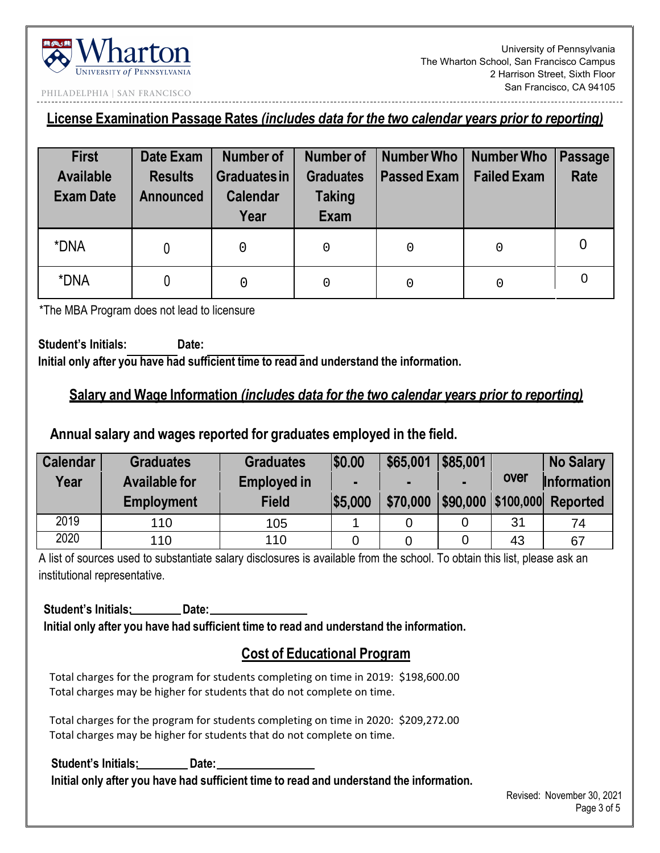

University of Pennsylvania The Wharton School, San Francisco Campus 2 Harrison Street, Sixth Floor San Francisco, CA 94105

PHILADELPHIA | SAN FRANCISCO

**License Examination Passage Rates** *(includes data for the two calendar years prior to reporting)* 

| <b>First</b><br><b>Available</b><br><b>Exam Date</b> | Date Exam<br><b>Results</b><br><b>Announced</b> | <b>Number of</b><br><b>Graduates in</b><br><b>Calendar</b> | Number of<br><b>Graduates</b><br><b>Taking</b> | Number Who<br><b>Passed Exam</b> | Number Who<br><b>Failed Exam</b> | Passage<br><b>Rate</b> |
|------------------------------------------------------|-------------------------------------------------|------------------------------------------------------------|------------------------------------------------|----------------------------------|----------------------------------|------------------------|
| *DNA                                                 |                                                 | Year                                                       | <b>Exam</b><br>0                               | 0                                | 0                                |                        |
| *DNA                                                 | 0                                               | 0                                                          | 0                                              | 0                                | 0                                | $\overline{0}$         |

\*The MBA Program does not lead to licensure

**Student's Initials: Date: Initial only after you have had sufficient time to read and understand the information.** 

#### **Salary and Wage Information** *(includes data for the two calendar years prior to reporting)*

#### **Annual salary and wages reported for graduates employed in the field.**

| <b>Calendar</b> | <b>Graduates</b>     | <b>Graduates</b>   | \$0.00  | \$65,001 | \$85,001 |      | <b>No Salary</b>              |
|-----------------|----------------------|--------------------|---------|----------|----------|------|-------------------------------|
| Year            | <b>Available for</b> | <b>Employed in</b> |         |          |          | over | <b>Information</b>            |
|                 | <b>Employment</b>    | <b>Field</b>       | \$5,000 | \$70,000 |          |      | \$90,000   \$100,000 Reported |
| 2019            | 110                  | 105                |         |          |          | 31   | 74                            |
| 2020            | 110                  | 110                |         |          |          | 43   | 67                            |

A list of sources used to substantiate salary disclosures is available from the school. To obtain this list, please ask an institutional representative.

Student's Initials: **Date: Initial only after you have had sufficient time to read and understand the information.** 

## **Cost of Educational Program**

Total charges for the program for students completing on time in 2019: \$198,600.00 Total charges may be higher for students that do not complete on time.

Total charges for the program for students completing on time in 2020: \$209,272.00 Total charges may be higher for students that do not complete on time.

Student's Initials: Date: **Initial only after you have had sufficient time to read and understand the information.**

 Revised: November 30, 2021 Page 3 of 5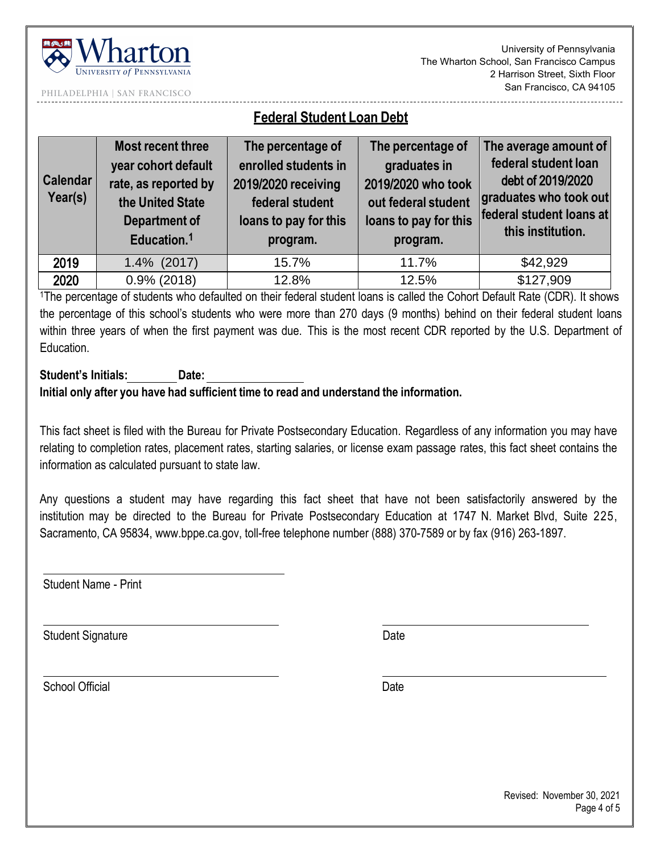

 University of Pennsylvania The Wharton School, San Francisco Campus 2 Harrison Street, Sixth Floor San Francisco, CA 94105

PHILADELPHIA | SAN FRANCISCO

# **Federal Student Loan Debt**

| <b>Calendar</b><br>Year(s) | <b>Most recent three</b><br>year cohort default<br>rate, as reported by<br>the United State<br><b>Department of</b><br>Education. <sup>1</sup> | The percentage of<br>enrolled students in<br>2019/2020 receiving<br>federal student<br>loans to pay for this<br>program. | The percentage of<br>graduates in<br>2019/2020 who took<br>out federal student<br>loans to pay for this<br>program. | The average amount of<br>federal student loan<br>debt of 2019/2020<br>graduates who took out<br>federal student loans at<br>this institution. |
|----------------------------|------------------------------------------------------------------------------------------------------------------------------------------------|--------------------------------------------------------------------------------------------------------------------------|---------------------------------------------------------------------------------------------------------------------|-----------------------------------------------------------------------------------------------------------------------------------------------|
| 2019                       | $1.4\%$ (2017)                                                                                                                                 | 15.7%                                                                                                                    | 11.7%                                                                                                               | \$42,929                                                                                                                                      |
| 2020                       | $0.9\%$ (2018)                                                                                                                                 | 12.8%                                                                                                                    | 12.5%                                                                                                               | \$127,909                                                                                                                                     |

1The percentage of students who defaulted on their federal student loans is called the Cohort Default Rate (CDR). It shows the percentage of this school's students who were more than 270 days (9 months) behind on their federal student loans within three years of when the first payment was due. This is the most recent CDR reported by the U.S. Department of **Education** 

#### **Student's Initials: Date: Initial only after you have had sufficient time to read and understand the information.**

This fact sheet is filed with the Bureau for Private Postsecondary Education. Regardless of any information you may have relating to completion rates, placement rates, starting salaries, or license exam passage rates, this fact sheet contains the information as calculated pursuant to state law.

Any questions a student may have regarding this fact sheet that have not been satisfactorily answered by the institution may be directed to the Bureau for Private Postsecondary Education at 1747 N. Market Blvd, Suite 225, Sacramento, CA 95834, www.bppe.ca.gov, toll-free telephone number (888) 370-7589 or by fax (916) 263-1897.

Student Name - Print

Student Signature Date Date

School Official Date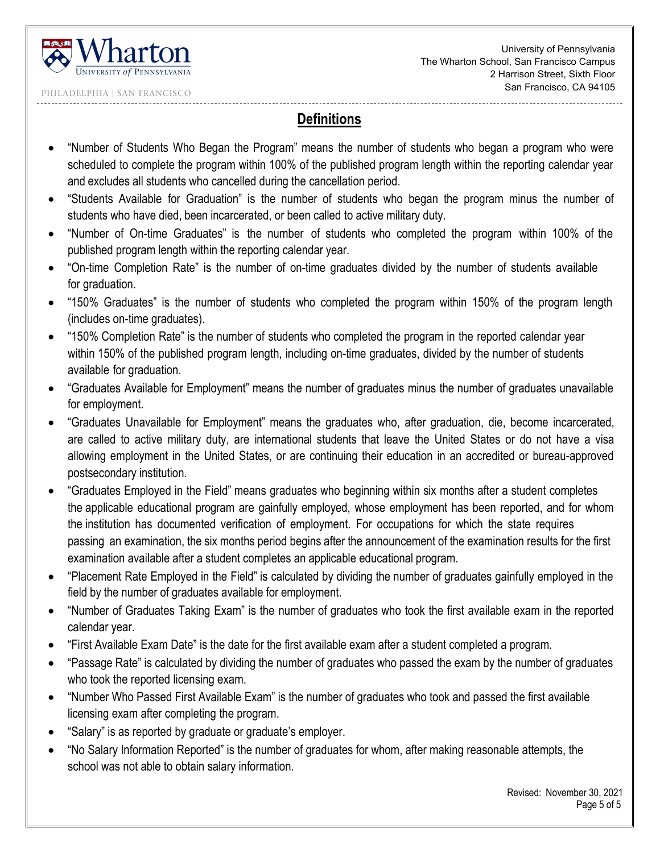

----------------------------------

PHILADELPHIA | SAN FRANCISCO

### **Definitions**

- "Number of Students Who Began the Program" means the number of students who began a program who were scheduled to complete the program within 100% of the published program length within the reporting calendar year and excludes all students who cancelled during the cancellation period.
- "Students Available for Graduation" is the number of students who began the program minus the number of students who have died, been incarcerated, or been called to active military duty.
- "Number of On-time Graduates" is the number of students who completed the program within 100% of the published program length within the reporting calendar year.
- "On-time Completion Rate" is the number of on-time graduates divided by the number of students available for graduation.
- "150% Graduates" is the number of students who completed the program within 150% of the program length (includes on-time graduates).
- "150% Completion Rate" is the number of students who completed the program in the reported calendar year within 150% of the published program length, including on-time graduates, divided by the number of students available for graduation.
- "Graduates Available for Employment" means the number of graduates minus the number of graduates unavailable for employment.
- "Graduates Unavailable for Employment" means the graduates who, after graduation, die, become incarcerated, are called to active military duty, are international students that leave the United States or do not have a visa allowing employment in the United States, or are continuing their education in an accredited or bureau-approved postsecondary institution.
- "Graduates Employed in the Field" means graduates who beginning within six months after a student completes the applicable educational program are gainfully employed, whose employment has been reported, and for whom the institution has documented verification of employment. For occupations for which the state requires passing an examination, the six months period begins after the announcement of the examination results for the first examination available after a student completes an applicable educational program.
- "Placement Rate Employed in the Field" is calculated by dividing the number of graduates gainfully employed in the field by the number of graduates available for employment.
- "Number of Graduates Taking Exam" is the number of graduates who took the first available exam in the reported calendar year.
- "First Available Exam Date" is the date for the first available exam after a student completed a program.
- "Passage Rate" is calculated by dividing the number of graduates who passed the exam by the number of graduates who took the reported licensing exam.
- "Number Who Passed First Available Exam" is the number of graduates who took and passed the first available licensing exam after completing the program.
- "Salary" is as reported by graduate or graduate's employer.
- "No Salary Information Reported" is the number of graduates for whom, after making reasonable attempts, the school was not able to obtain salary information.